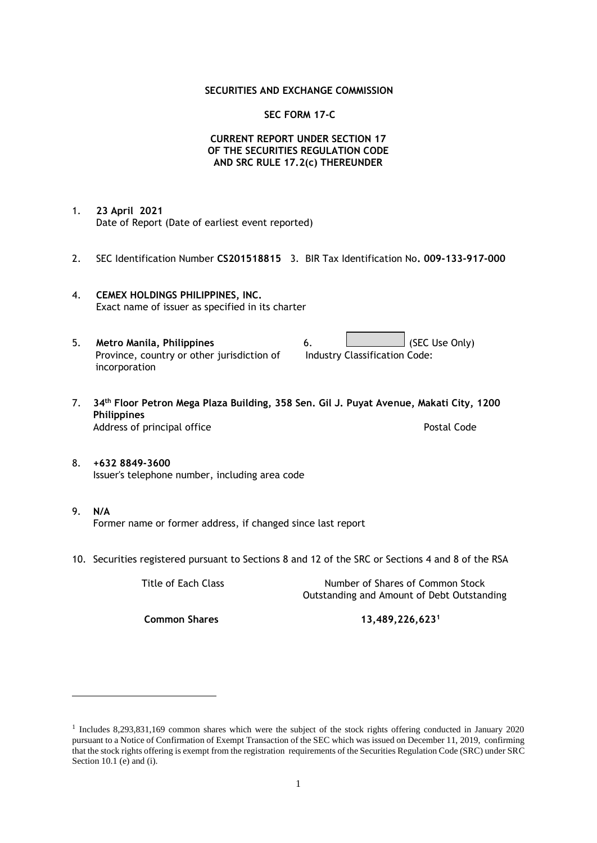## **SECURITIES AND EXCHANGE COMMISSION**

## **SEC FORM 17-C**

# **CURRENT REPORT UNDER SECTION 17 OF THE SECURITIES REGULATION CODE AND SRC RULE 17.2(c) THEREUNDER**

- 1. **23 April 2021** Date of Report (Date of earliest event reported)
- 2. SEC Identification Number **CS201518815** 3. BIR Tax Identification No**. 009-133-917-000**
- 4. **CEMEX HOLDINGS PHILIPPINES, INC.** Exact name of issuer as specified in its charter
- 5. **Metro Manila, Philippines** 6. **Consumers 6.** (SEC Use Only) Province, country or other jurisdiction of incorporation Industry Classification Code:
- 7. **34th Floor Petron Mega Plaza Building, 358 Sen. Gil J. Puyat Avenue, Makati City, 1200 Philippines** Address of principal office **Postal Code** Postal Code
- 8. **+632 8849-3600** Issuer's telephone number, including area code
- 9. **N/A** Former name or former address, if changed since last report
- 10. Securities registered pursuant to Sections 8 and 12 of the SRC or Sections 4 and 8 of the RSA

Title of Each Class Number of Shares of Common Stock Outstanding and Amount of Debt Outstanding

**Common Shares 13,489,226,623<sup>1</sup>**

<sup>1</sup> Includes 8,293,831,169 common shares which were the subject of the stock rights offering conducted in January 2020 pursuant to a Notice of Confirmation of Exempt Transaction of the SEC which was issued on December 11, 2019, confirming that the stock rights offering is exempt from the registration requirements of the Securities Regulation Code (SRC) under SRC Section 10.1 (e) and (i).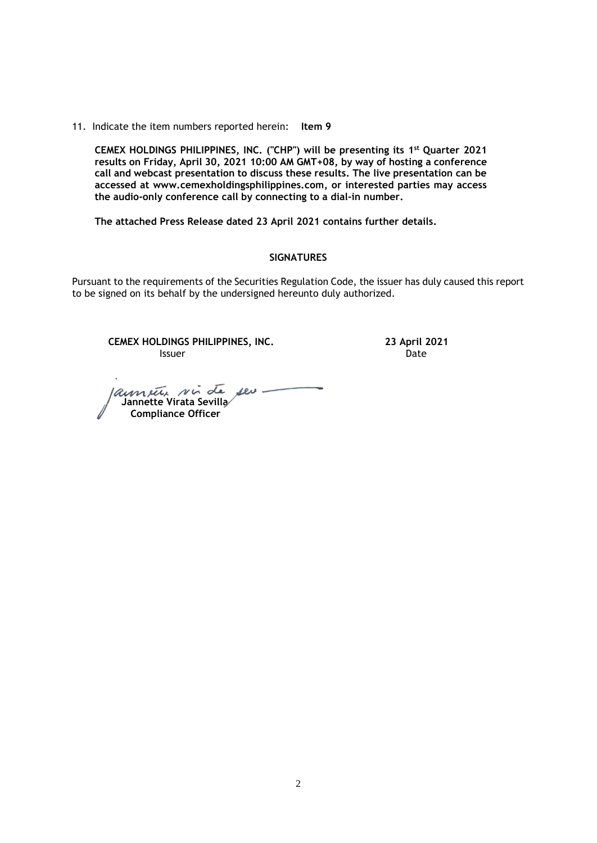11. Indicate the item numbers reported herein: **Item 9**

**CEMEX HOLDINGS PHILIPPINES, INC. ("CHP") will be presenting its 1 st Quarter 2021 results on Friday, April 30, 2021 10:00 AM GMT+08, by way of hosting a conference call and webcast presentation to discuss these results. The live presentation can be accessed at [www.cemexholdingsphilippines.com,](http://www.cemexholdingsphilippines.com/) or interested parties may access the audio-only conference call by connecting to a dial-in number.** 

**The attached Press Release dated 23 April 2021 contains further details.**

#### **SIGNATURES**

Pursuant to the requirements of the Securities Regulation Code, the issuer has duly caused this report to be signed on its behalf by the undersigned hereunto duly authorized.

**CEMEX HOLDINGS PHILIPPINES, INC. 23 April 2021 Issuer Community Community Community** Community Community Community Community Community Community Community Comm

annete sin de seu  **Jannette Virata Sevilla Compliance Officer**